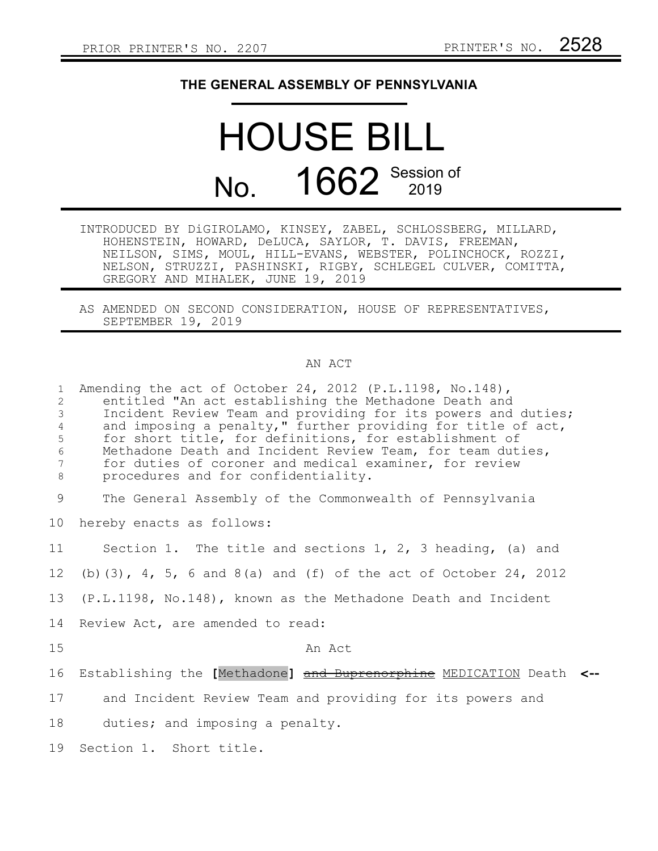## **THE GENERAL ASSEMBLY OF PENNSYLVANIA**

## HOUSE BILL No. 1662 Session of

- INTRODUCED BY DiGIROLAMO, KINSEY, ZABEL, SCHLOSSBERG, MILLARD, HOHENSTEIN, HOWARD, DeLUCA, SAYLOR, T. DAVIS, FREEMAN, NEILSON, SIMS, MOUL, HILL-EVANS, WEBSTER, POLINCHOCK, ROZZI, NELSON, STRUZZI, PASHINSKI, RIGBY, SCHLEGEL CULVER, COMITTA, GREGORY AND MIHALEK, JUNE 19, 2019
- AS AMENDED ON SECOND CONSIDERATION, HOUSE OF REPRESENTATIVES, SEPTEMBER 19, 2019

## AN ACT

| $\mathbf{1}$<br>2<br>3<br>$\overline{4}$<br>5<br>6<br>7<br>$8\,$ | Amending the act of October 24, 2012 (P.L.1198, No.148),<br>entitled "An act establishing the Methadone Death and<br>Incident Review Team and providing for its powers and duties;<br>and imposing a penalty," further providing for title of act,<br>for short title, for definitions, for establishment of<br>Methadone Death and Incident Review Team, for team duties,<br>for duties of coroner and medical examiner, for review<br>procedures and for confidentiality. |
|------------------------------------------------------------------|-----------------------------------------------------------------------------------------------------------------------------------------------------------------------------------------------------------------------------------------------------------------------------------------------------------------------------------------------------------------------------------------------------------------------------------------------------------------------------|
| 9                                                                | The General Assembly of the Commonwealth of Pennsylvania                                                                                                                                                                                                                                                                                                                                                                                                                    |
| 10                                                               | hereby enacts as follows:                                                                                                                                                                                                                                                                                                                                                                                                                                                   |
| 11                                                               | Section 1. The title and sections 1, 2, 3 heading, (a) and                                                                                                                                                                                                                                                                                                                                                                                                                  |
| 12                                                               | (b) $(3)$ , 4, 5, 6 and 8(a) and (f) of the act of October 24, 2012                                                                                                                                                                                                                                                                                                                                                                                                         |
| 13                                                               | (P.L.1198, No.148), known as the Methadone Death and Incident                                                                                                                                                                                                                                                                                                                                                                                                               |
| 14                                                               | Review Act, are amended to read:                                                                                                                                                                                                                                                                                                                                                                                                                                            |
| 15                                                               | An Act                                                                                                                                                                                                                                                                                                                                                                                                                                                                      |
| 16                                                               | Establishing the [Methadone] and Buprenorphine MEDICATION Death <--                                                                                                                                                                                                                                                                                                                                                                                                         |
| 17                                                               | and Incident Review Team and providing for its powers and                                                                                                                                                                                                                                                                                                                                                                                                                   |
| 18                                                               | duties; and imposing a penalty.                                                                                                                                                                                                                                                                                                                                                                                                                                             |
| 19                                                               | Section 1. Short title.                                                                                                                                                                                                                                                                                                                                                                                                                                                     |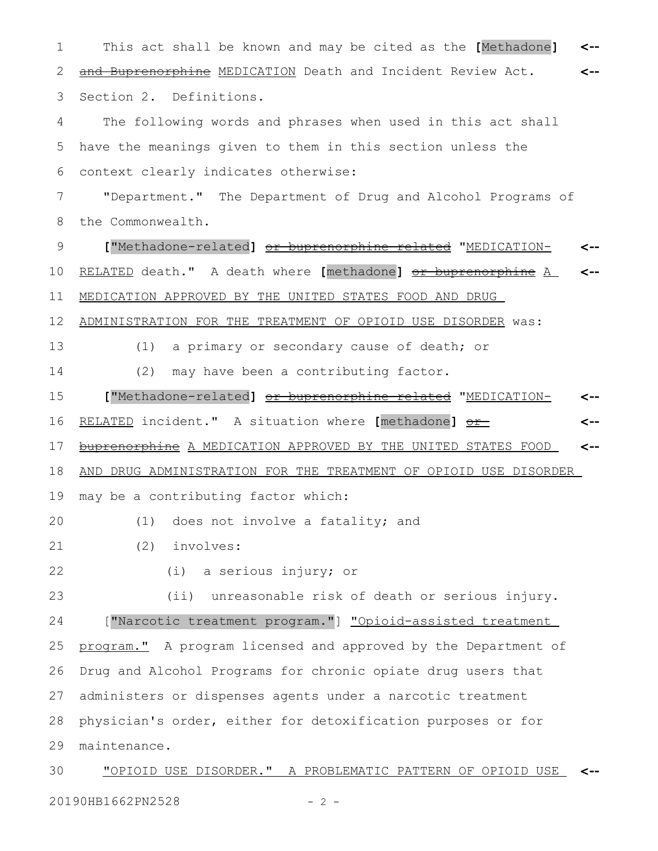This act shall be known and may be cited as the **[**Methadone**]** 1 **<-** and Buprenorphine MEDICATION Death and Incident Review Act. Section 2. Definitions. The following words and phrases when used in this act shall have the meanings given to them in this section unless the context clearly indicates otherwise: "Department." The Department of Drug and Alcohol Programs of the Commonwealth. **[**"Methadone-related**]** or buprenorphine-related "MEDICATION-RELATED death." A death where **[**methadone**]** or buprenorphine A MEDICATION APPROVED BY THE UNITED STATES FOOD AND DRUG ADMINISTRATION FOR THE TREATMENT OF OPIOID USE DISORDER was: (1) a primary or secondary cause of death; or (2) may have been a contributing factor. **[**"Methadone-related**]** or buprenorphine-related "MEDICATION-RELATED incident." A situation where [methadone]  $r$ buprenorphine A MEDICATION APPROVED BY THE UNITED STATES FOOD AND DRUG ADMINISTRATION FOR THE TREATMENT OF OPIOID USE DISORDER may be a contributing factor which: (1) does not involve a fatality; and (2) involves: (i) a serious injury; or (ii) unreasonable risk of death or serious injury. ["Narcotic treatment program."] "Opioid-assisted treatment program." A program licensed and approved by the Department of Drug and Alcohol Programs for chronic opiate drug users that administers or dispenses agents under a narcotic treatment physician's order, either for detoxification purposes or for maintenance. "OPIOID USE DISORDER." A PROBLEMATIC PATTERN OF OPIOID USE **<-- <-- <-- <-- <-- <-- <--** 2 3 4 5 6 7 8 9 10 11 12 13 14 15 16 17 18 19 20 21 22 23 24 25 26 27 28 29 30

20190HB1662PN2528 - 2 -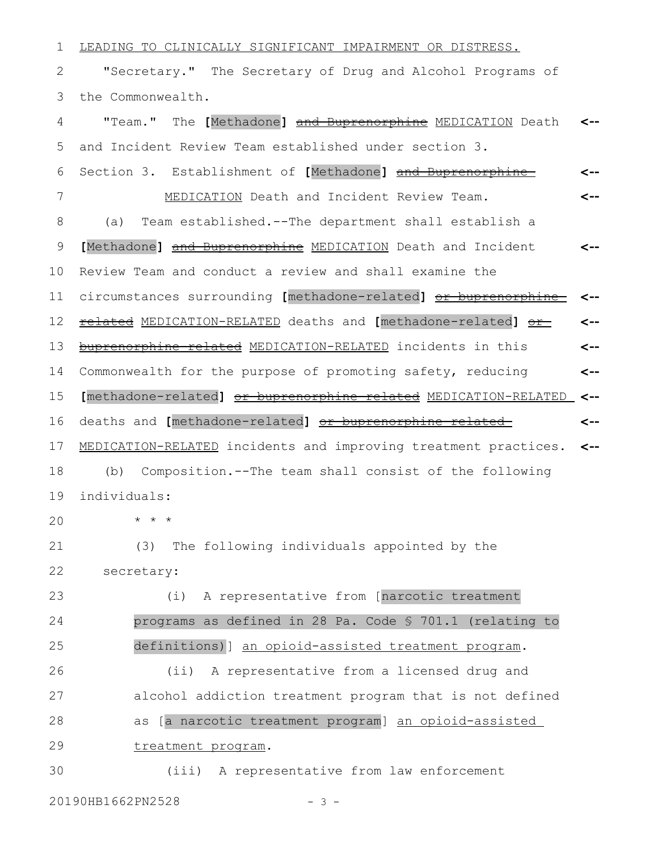LEADING TO CLINICALLY SIGNIFICANT IMPAIRMENT OR DISTRESS. 1

"Secretary." The Secretary of Drug and Alcohol Programs of the Commonwealth. 2 3

"Team." The **[**Methadone**]** and Buprenorphine MEDICATION Death and Incident Review Team established under section 3. Section 3. Establishment of [Methadone] and Buprenorphine MEDICATION Death and Incident Review Team. (a) Team established.--The department shall establish a **[**Methadone**]** and Buprenorphine MEDICATION Death and Incident Review Team and conduct a review and shall examine the circumstances surrounding **[**methadone-related**]** or buprenorphinerelated MEDICATION-RELATED deaths and **[**methadone-related**]** or buprenorphine-related MEDICATION-RELATED incidents in this Commonwealth for the purpose of promoting safety, reducing **[**methadone-related**]** or buprenorphine-related MEDICATION-RELATED **<-** deaths and **[**methadone-related**]** or buprenorphine-related MEDICATION-RELATED incidents and improving treatment practices. (b) Composition.--The team shall consist of the following individuals: \* \* \* (3) The following individuals appointed by the secretary: **<-- <-- <-- <-- <-- <-- <-- <-- <-- <--** 4 5 6 7 8 9 10 11 12 13 14 15 16 17 18 19 20 21 22

(i) A representative from [narcotic treatment programs as defined in 28 Pa. Code § 701.1 (relating to definitions)] an opioid-assisted treatment program. 23 24 25

(ii) A representative from a licensed drug and alcohol addiction treatment program that is not defined as [a narcotic treatment program] an opioid-assisted treatment program. 26 27 28 29

(iii) A representative from law enforcement 20190HB1662PN2528 - 3 -30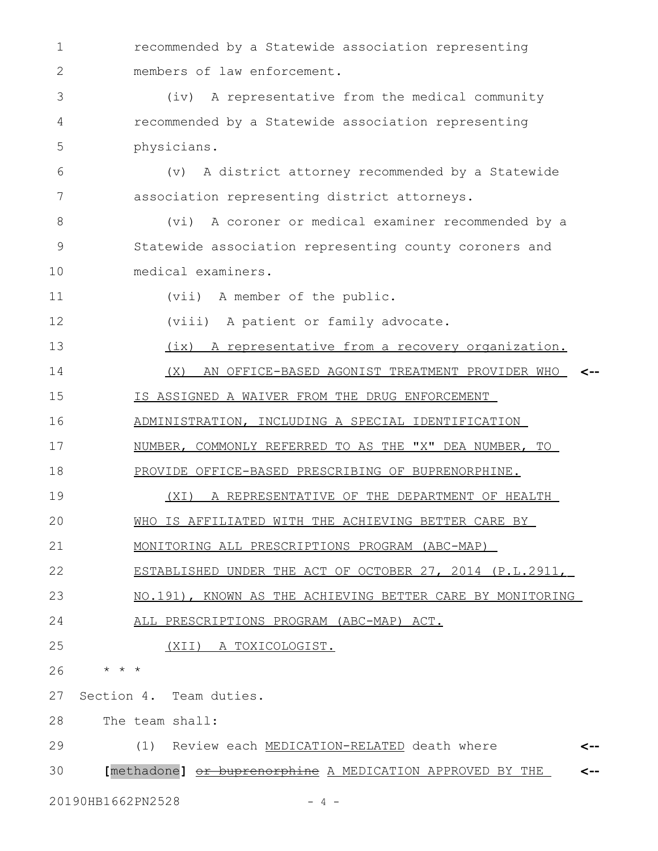recommended by a Statewide association representing members of law enforcement. (iv) A representative from the medical community recommended by a Statewide association representing physicians. (v) A district attorney recommended by a Statewide association representing district attorneys. (vi) A coroner or medical examiner recommended by a Statewide association representing county coroners and medical examiners. (vii) A member of the public. (viii) A patient or family advocate. (ix) A representative from a recovery organization. (X) AN OFFICE-BASED AGONIST TREATMENT PROVIDER WHO **<--** IS ASSIGNED A WAIVER FROM THE DRUG ENFORCEMENT ADMINISTRATION, INCLUDING A SPECIAL IDENTIFICATION NUMBER, COMMONLY REFERRED TO AS THE "X" DEA NUMBER, TO PROVIDE OFFICE-BASED PRESCRIBING OF BUPRENORPHINE. (XI) A REPRESENTATIVE OF THE DEPARTMENT OF HEALTH WHO IS AFFILIATED WITH THE ACHIEVING BETTER CARE BY MONITORING ALL PRESCRIPTIONS PROGRAM (ABC-MAP) ESTABLISHED UNDER THE ACT OF OCTOBER 27, 2014 (P.L.2911, NO.191), KNOWN AS THE ACHIEVING BETTER CARE BY MONITORING ALL PRESCRIPTIONS PROGRAM (ABC-MAP) ACT. (XII) A TOXICOLOGIST. \* \* \* Section 4. Team duties. The team shall: (1) Review each MEDICATION-RELATED death where **[**methadone**]** or buprenorphine A MEDICATION APPROVED BY THE **<-- <--** 1 2 3 4 5 6 7 8 9 10 11 12 13 14 15 16 17 18 19 20 21 22 23 24 25 26 27 28 29 30

20190HB1662PN2528 - 4 -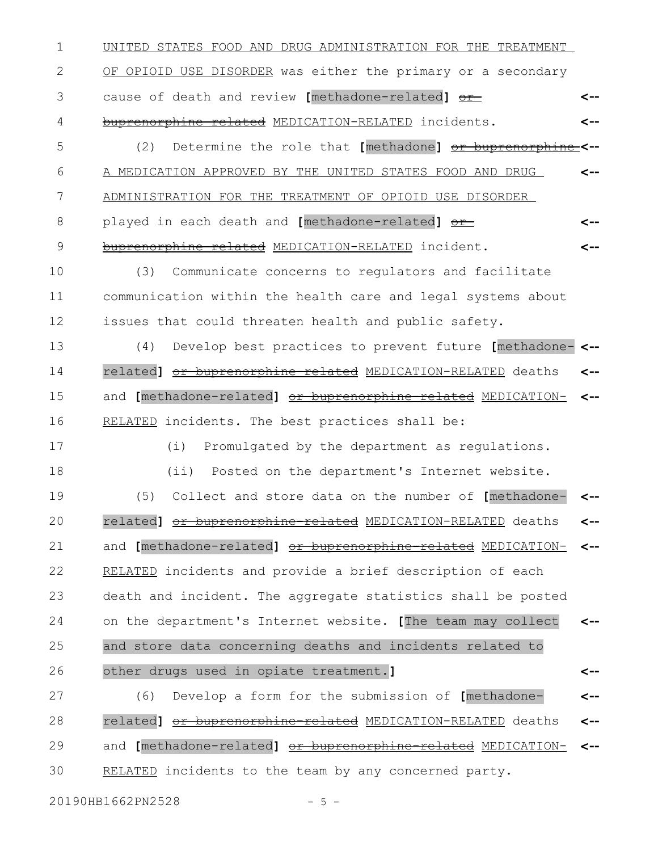UNITED STATES FOOD AND DRUG ADMINISTRATION FOR THE TREATMENT OF OPIOID USE DISORDER was either the primary or a secondary cause of death and review **[**methadone-related**]** or buprenorphine-related MEDICATION-RELATED incidents. (2) Determine the role that **[**methadone**]** or buprenorphine **<--** A MEDICATION APPROVED BY THE UNITED STATES FOOD AND DRUG ADMINISTRATION FOR THE TREATMENT OF OPIOID USE DISORDER played in each death and **[**methadone-related**]** or buprenorphine- related MEDICATION-RELATED incident. (3) Communicate concerns to regulators and facilitate communication within the health care and legal systems about issues that could threaten health and public safety. (4) Develop best practices to prevent future **[**methadone-**<-** related**]** or buprenorphine-related MEDICATION-RELATED deaths and **[**methadone-related**]** or buprenorphine-related MEDICATION-**<--** RELATED incidents. The best practices shall be: (i) Promulgated by the department as regulations. (ii) Posted on the department's Internet website. (5) Collect and store data on the number of **[**methadonerelated**]** or buprenorphine-related MEDICATION-RELATED deaths and **[**methadone-related**]** or buprenorphine-related MEDICATION-RELATED incidents and provide a brief description of each death and incident. The aggregate statistics shall be posted on the department's Internet website. **[**The team may collect and store data concerning deaths and incidents related to other drugs used in opiate treatment.**]** (6) Develop a form for the submission of **[**methadonerelated**]** or buprenorphine-related MEDICATION-RELATED deaths and **[**methadone-related**]** or buprenorphine-related MEDICATION-RELATED incidents to the team by any concerned party. **<-- <-- <-- <-- <-- <-- <-- <-- <-- <-- <-- <-- <-- <--** 1 2 3 4 5 6 7 8 9 10 11 12 13 14 15 16 17 18 19 20 21 22 23 24 25 26 27 28 29 30

20190HB1662PN2528 - 5 -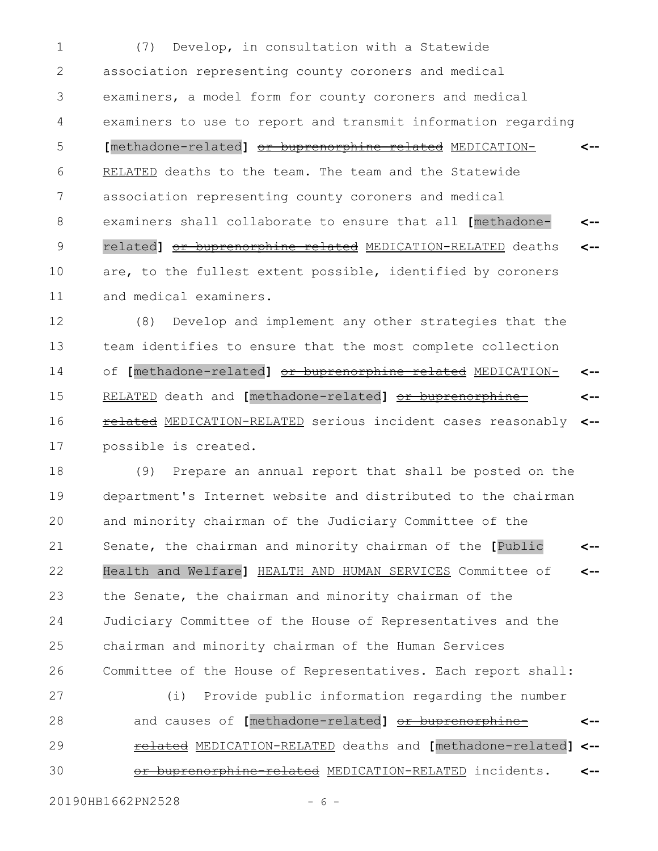(7) Develop, in consultation with a Statewide association representing county coroners and medical examiners, a model form for county coroners and medical examiners to use to report and transmit information regarding **[**methadone-related**]** or buprenorphine-related MEDICATION-RELATED deaths to the team. The team and the Statewide association representing county coroners and medical examiners shall collaborate to ensure that all **[**methadonerelated**]** or buprenorphine-related MEDICATION-RELATED deaths are, to the fullest extent possible, identified by coroners and medical examiners. **<-- <-- <--** 1 2 3 4 5 6 7 8 9 10 11

(8) Develop and implement any other strategies that the team identifies to ensure that the most complete collection of **[**methadone-related**]** or buprenorphine-related MEDICATION-RELATED death and **[**methadone-related**]** or buprenorphinerelated MEDICATION-RELATED serious incident cases reasonably **<-** possible is created. **<-- <--** 12 13 14 15 16 17

(9) Prepare an annual report that shall be posted on the department's Internet website and distributed to the chairman and minority chairman of the Judiciary Committee of the Senate, the chairman and minority chairman of the **[**Public Health and Welfare**]** HEALTH AND HUMAN SERVICES Committee of the Senate, the chairman and minority chairman of the Judiciary Committee of the House of Representatives and the chairman and minority chairman of the Human Services Committee of the House of Representatives. Each report shall: **<-- <--** 18 19 20 21 22 23 24 25 26

(i) Provide public information regarding the number and causes of [methadone-related] or buprenorphinerelated MEDICATION-RELATED deaths and **[**methadone-related**] <-** or buprenorphine related MEDICATION-RELATED incidents. **<-- <--** 27 28 29 30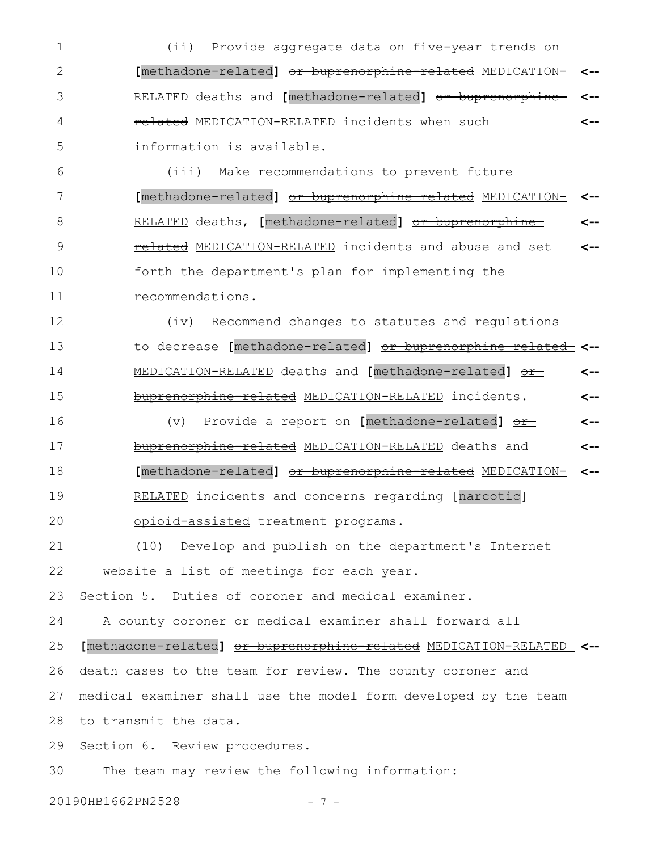(ii) Provide aggregate data on five-year trends on **[**methadone-related**]** or buprenorphine-related MEDICATION-RELATED deaths and [methadone-related] or buprenorphinerelated MEDICATION-RELATED incidents when such information is available. **<-- <-- <--** 1 2 3 4 5

(iii) Make recommendations to prevent future **[**methadone-related**]** or buprenorphine-related MEDICATION-RELATED deaths, **[**methadone-related**]** or buprenorphinerelated MEDICATION-RELATED incidents and abuse and set forth the department's plan for implementing the recommendations. **<-- <-- <--** 6 7 8 9 10 11

(iv) Recommend changes to statutes and regulations to decrease **[**methadone-related**]** or buprenorphine-related **<--** MEDICATION-RELATED deaths and [methadone-related]  $\frac{\text{or}}{\text{or}}$ buprenorphine-related MEDICATION-RELATED incidents. **<-- <--** 12 13 14 15

(v) Provide a report on [methadone-related]  $\frac{\partial F}{\partial x}$ buprenorphine-related MEDICATION-RELATED deaths and **[**methadone-related**]** or buprenorphine-related MEDICATION-**<--** RELATED incidents and concerns regarding [narcotic] **<-- <--** 16 17 18 19

opioid-assisted treatment programs. 20

(10) Develop and publish on the department's Internet website a list of meetings for each year. 21 22

Section 5. Duties of coroner and medical examiner. 23

A county coroner or medical examiner shall forward all 24

**[**methadone-related**]** or buprenorphine-related MEDICATION-RELATED **<-** death cases to the team for review. The county coroner and medical examiner shall use the model form developed by the team to transmit the data. 25 26 27 28

Section 6. Review procedures. 29

The team may review the following information: 30

20190HB1662PN2528 - 7 -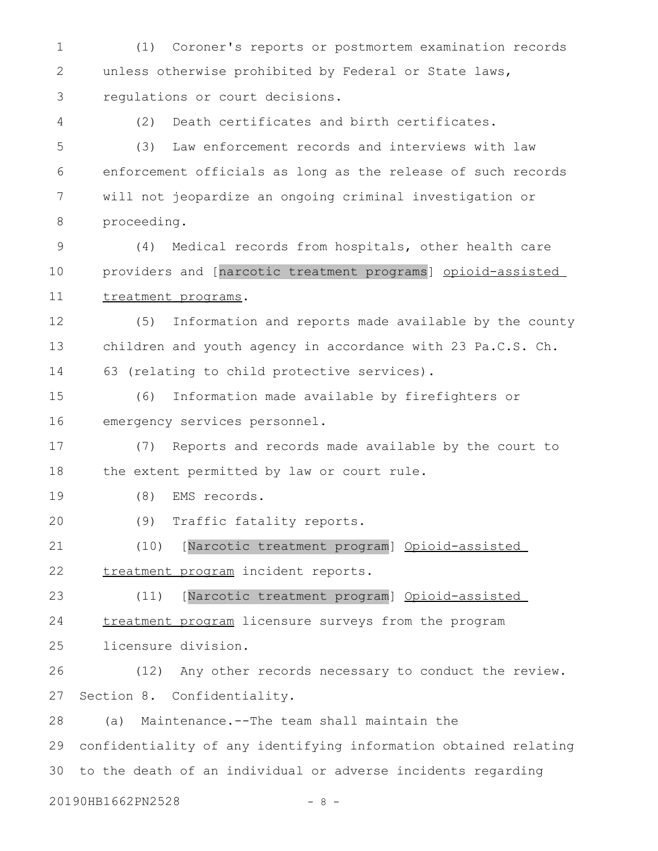(1) Coroner's reports or postmortem examination records unless otherwise prohibited by Federal or State laws, regulations or court decisions. 1 2 3

4

(2) Death certificates and birth certificates.

(3) Law enforcement records and interviews with law enforcement officials as long as the release of such records will not jeopardize an ongoing criminal investigation or proceeding. 5 6 7 8

(4) Medical records from hospitals, other health care providers and [narcotic treatment programs] opioid-assisted treatment programs. 9 10 11

(5) Information and reports made available by the county children and youth agency in accordance with 23 Pa.C.S. Ch. 63 (relating to child protective services). 12 13 14

(6) Information made available by firefighters or emergency services personnel. 15 16

(7) Reports and records made available by the court to the extent permitted by law or court rule. 17 18

(8) EMS records. 19

(9) Traffic fatality reports. 20

(10) [Narcotic treatment program] Opioid-assisted treatment program incident reports. 21 22

(11) [Narcotic treatment program] Opioid-assisted treatment program licensure surveys from the program 23 24

licensure division. 25

(12) Any other records necessary to conduct the review. Section 8. Confidentiality. 26 27

(a) Maintenance.--The team shall maintain the confidentiality of any identifying information obtained relating to the death of an individual or adverse incidents regarding 28 29 30

20190HB1662PN2528 - 8 -